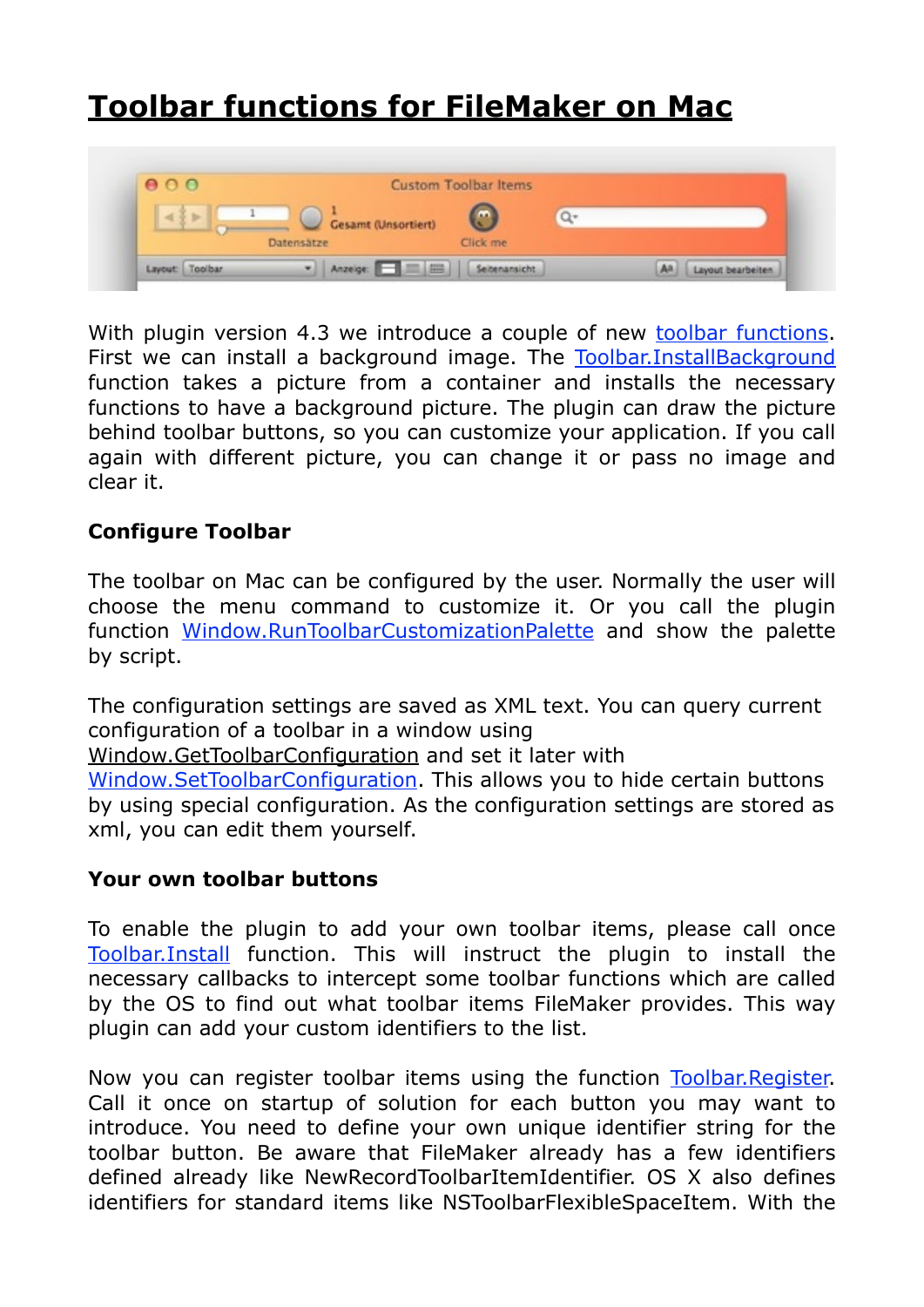## **[Toolbar functions for FileMaker on Mac](http://www.mbsplugins.de/archive/2014-08-27/Toolbar_functions_for_FileMake)**



With plugin version 4.3 we introduce a couple of new [toolbar functions.](http://www.mbsplugins.eu/component_Toolbar.shtml) First we can install a background image. The [Toolbar.InstallBackground](http://www.mbsplugins.eu/ToolbarInstallBackground.shtml) function takes a picture from a container and installs the necessary functions to have a background picture. The plugin can draw the picture behind toolbar buttons, so you can customize your application. If you call again with different picture, you can change it or pass no image and clear it.

## **Configure Toolbar**

The toolbar on Mac can be configured by the user. Normally the user will choose the menu command to customize it. Or you call the plugin function [Window.RunToolbarCustomizationPalette](http://www.mbsplugins.eu/WindowRunToolbarCustomizationPalette.shtml) and show the palette by script.

The configuration settings are saved as XML text. You can query current configuration of a toolbar in a window using

[Window.GetToolbarConfiguration](http://www.mbsplugins.eu/WindowGetToolbarConfiguration.shtml) and set it later with

[Window.SetToolbarConfiguration](http://www.mbsplugins.eu/WindowSetToolbarConfiguration.shtml). This allows you to hide certain buttons by using special configuration. As the configuration settings are stored as xml, you can edit them yourself.

## **Your own toolbar buttons**

To enable the plugin to add your own toolbar items, please call once [Toolbar.Install](http://www.mbsplugins.eu/ToolbarInstall.shtml) function. This will instruct the plugin to install the necessary callbacks to intercept some toolbar functions which are called by the OS to find out what toolbar items FileMaker provides. This way plugin can add your custom identifiers to the list.

Now you can register toolbar items using the function [Toolbar.Register.](http://www.mbsplugins.eu/ToolbarRegister.shtml) Call it once on startup of solution for each button you may want to introduce. You need to define your own unique identifier string for the toolbar button. Be aware that FileMaker already has a few identifiers defined already like NewRecordToolbarItemIdentifier. OS X also defines identifiers for standard items like NSToolbarFlexibleSpaceItem. With the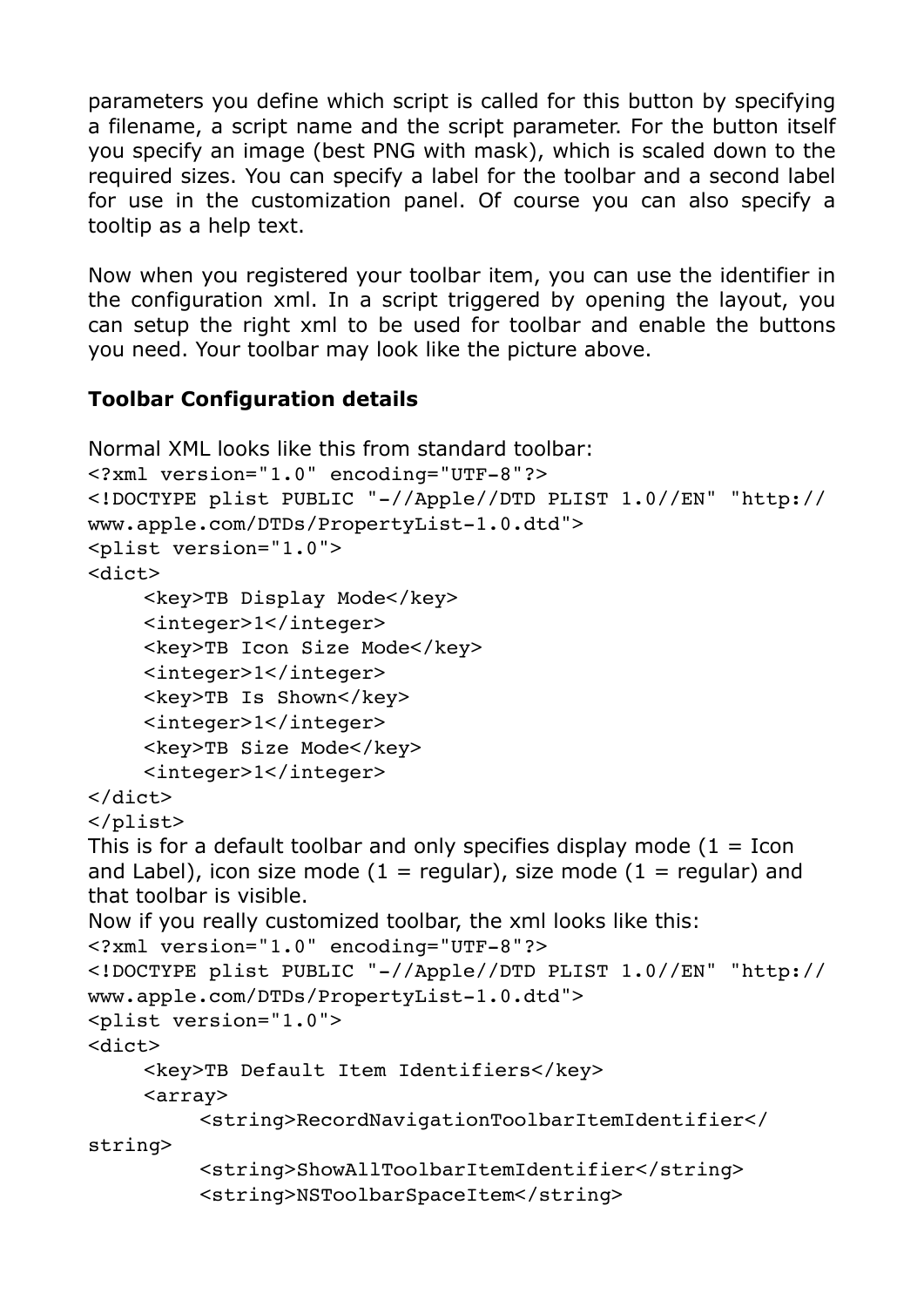parameters you define which script is called for this button by specifying a filename, a script name and the script parameter. For the button itself you specify an image (best PNG with mask), which is scaled down to the required sizes. You can specify a label for the toolbar and a second label for use in the customization panel. Of course you can also specify a tooltip as a help text.

Now when you registered your toolbar item, you can use the identifier in the configuration xml. In a script triggered by opening the layout, you can setup the right xml to be used for toolbar and enable the buttons you need. Your toolbar may look like the picture above.

## **Toolbar Configuration details**

```
Normal XML looks like this from standard toolbar:
<?xml version="1.0" encoding="UTF-8"?>
<!DOCTYPE plist PUBLIC "-//Apple//DTD PLIST 1.0//EN" "http://
www.apple.com/DTDs/PropertyList-1.0.dtd">
<plist version="1.0">
<dict>
     <key>TB Display Mode</key>
    <integer>1</integer>
     <key>TB Icon Size Mode</key>
     <integer>1</integer>
     <key>TB Is Shown</key>
     <integer>1</integer>
     <key>TB Size Mode</key>
     <integer>1</integer>
</dict>
</plist>
This is for a default toolbar and only specifies display mode (1 = Icon
and Label), icon size mode (1 = regular), size mode (1 = regular) and
that toolbar is visible. 
Now if you really customized toolbar, the xml looks like this: 
<?xml version="1.0" encoding="UTF-8"?>
<!DOCTYPE plist PUBLIC "-//Apple//DTD PLIST 1.0//EN" "http://
www.apple.com/DTDs/PropertyList-1.0.dtd">
<plist version="1.0">
<dict>
    <key>TB Default Item Identifiers</key>
    <array>
          ! ! <string>RecordNavigationToolbarItemIdentifier</
string>
          ! ! <string>ShowAllToolbarItemIdentifier</string>
          <string>NSToolbarSpaceItem</string>
```